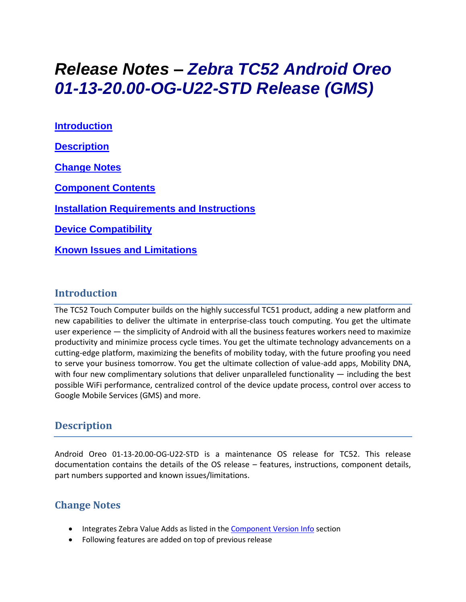# *Release Notes – Zebra TC52 Android Oreo 01-13-20.00-OG-U22-STD Release (GMS)*

**[Introduction](#page-0-0) [Description](#page-0-1) [Change Notes](#page-0-2) [Component Contents](#page-1-0) [Installation Requirements](#page-2-0) and Instructions [Device Compatibility](#page-3-0) Known [Issues and Limitations](#page-3-1)**

#### <span id="page-0-0"></span>**Introduction**

<span id="page-0-1"></span>The TC52 Touch Computer builds on the highly successful TC51 product, adding a new platform and new capabilities to deliver the ultimate in enterprise-class touch computing. You get the ultimate user experience — the simplicity of Android with all the business features workers need to maximize productivity and minimize process cycle times. You get the ultimate technology advancements on a cutting-edge platform, maximizing the benefits of mobility today, with the future proofing you need to serve your business tomorrow. You get the ultimate collection of value-add apps, Mobility DNA, with four new complimentary solutions that deliver unparalleled functionality  $-$  including the best possible WiFi performance, centralized control of the device update process, control over access to Google Mobile Services (GMS) and more.

### **Description**

Android Oreo 01-13-20.00-OG-U22-STD is a maintenance OS release for TC52. This release documentation contains the details of the OS release – features, instructions, component details, part numbers supported and known issues/limitations.

#### <span id="page-0-2"></span>**Change Notes**

- Integrates Zebra Value Adds as listed in th[e Component Version Info](#page-1-1) section
- Following features are added on top of previous release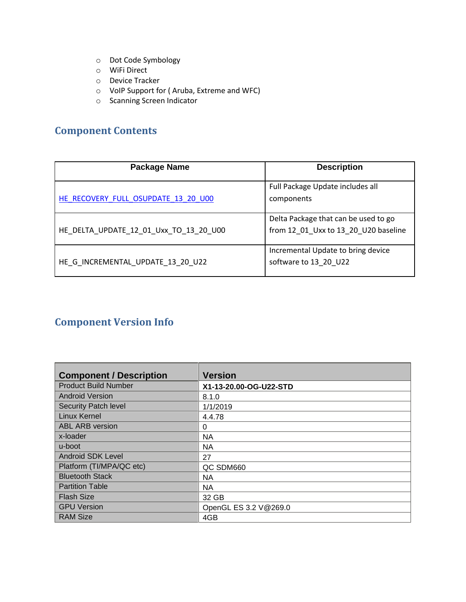- o Dot Code Symbology
- o WiFi Direct
- o Device Tracker
- o VoIP Support for ( Aruba, Extreme and WFC)
- o Scanning Screen Indicator

# <span id="page-1-0"></span>**Component Contents**

| <b>Package Name</b>                    | <b>Description</b>                                                           |
|----------------------------------------|------------------------------------------------------------------------------|
| HE RECOVERY FULL OSUPDATE 13 20 U00    | Full Package Update includes all<br>components                               |
| HE_DELTA_UPDATE_12_01_Uxx_TO_13_20_U00 | Delta Package that can be used to go<br>from 12_01_Uxx to 13_20_U20 baseline |
| HE G INCREMENTAL UPDATE 13 20 U22      | Incremental Update to bring device<br>software to 13 20 U22                  |

# <span id="page-1-1"></span>**Component Version Info**

| <b>Component / Description</b> | <b>Version</b>         |
|--------------------------------|------------------------|
| <b>Product Build Number</b>    | X1-13-20.00-OG-U22-STD |
| <b>Android Version</b>         | 8.1.0                  |
| <b>Security Patch level</b>    | 1/1/2019               |
| <b>Linux Kernel</b>            | 4.4.78                 |
| <b>ABL ARB version</b>         | 0                      |
| x-loader                       | <b>NA</b>              |
| u-boot                         | <b>NA</b>              |
| <b>Android SDK Level</b>       | 27                     |
| Platform (TI/MPA/QC etc)       | QC SDM660              |
| <b>Bluetooth Stack</b>         | NA.                    |
| <b>Partition Table</b>         | <b>NA</b>              |
| <b>Flash Size</b>              | 32 GB                  |
| <b>GPU Version</b>             | OpenGL ES 3.2 V@269.0  |
| <b>RAM Size</b>                | 4GB                    |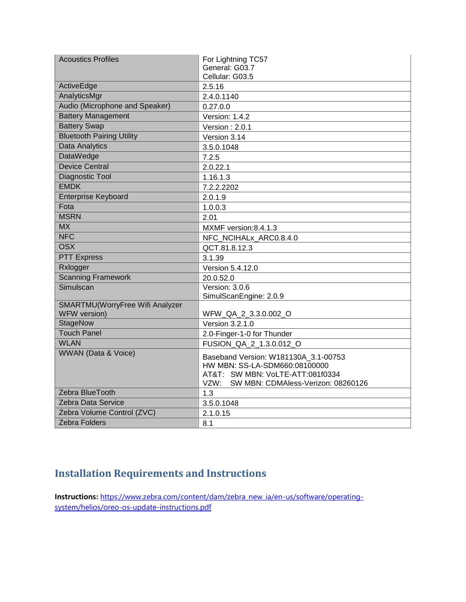| <b>Acoustics Profiles</b>        | For Lightning TC57                      |  |
|----------------------------------|-----------------------------------------|--|
|                                  | General: G03.7                          |  |
|                                  | Cellular: G03.5                         |  |
| ActiveEdge                       | 2.5.16                                  |  |
| AnalyticsMgr                     | 2.4.0.1140                              |  |
| Audio (Microphone and Speaker)   | 0.27.0.0                                |  |
| <b>Battery Management</b>        | Version: 1.4.2                          |  |
| <b>Battery Swap</b>              | Version: 2.0.1                          |  |
| <b>Bluetooth Pairing Utility</b> | Version 3.14                            |  |
| <b>Data Analytics</b>            | 3.5.0.1048                              |  |
| <b>DataWedge</b>                 | 7.2.5                                   |  |
| <b>Device Central</b>            | 2.0.22.1                                |  |
| Diagnostic Tool                  | 1.16.1.3                                |  |
| <b>EMDK</b>                      | 7.2.2.2202                              |  |
| <b>Enterprise Keyboard</b>       | 2.0.1.9                                 |  |
| Fota                             | 1.0.0.3                                 |  |
| <b>MSRN</b>                      | 2.01                                    |  |
| <b>MX</b>                        | MXMF version: 8.4.1.3                   |  |
| NFC                              | NFC NCIHALx ARC0.8.4.0                  |  |
| <b>OSX</b>                       | QCT.81.8.12.3                           |  |
| <b>PTT Express</b>               | 3.1.39                                  |  |
| Rxlogger                         | Version 5.4.12.0                        |  |
| <b>Scanning Framework</b>        | 20.0.52.0                               |  |
| Simulscan                        | Version: 3.0.6                          |  |
|                                  | SimulScanEngine: 2.0.9                  |  |
| SMARTMU(WorryFree Wifi Analyzer  |                                         |  |
| WFW version)                     | WFW_QA_2_3.3.0.002_O                    |  |
| <b>StageNow</b>                  | Version 3.2.1.0                         |  |
| <b>Touch Panel</b>               | 2.0-Finger-1-0 for Thunder              |  |
| <b>WLAN</b>                      | FUSION_QA_2_1.3.0.012_O                 |  |
| <b>WWAN</b> (Data & Voice)       | Baseband Version: W181130A 3.1-00753    |  |
|                                  | HW MBN: SS-LA-SDM660:08100000           |  |
|                                  | AT&T: SW MBN: VoLTE-ATT:081f0334        |  |
|                                  | VZW: SW MBN: CDMAless-Verizon: 08260126 |  |
| Zebra BlueTooth                  | 1.3                                     |  |
| Zebra Data Service               | 3.5.0.1048                              |  |
| Zebra Volume Control (ZVC)       | 2.1.0.15                                |  |
| <b>Zebra Folders</b>             | 8.1                                     |  |

### <span id="page-2-0"></span>**Installation Requirements and Instructions**

Instructions: [https://www.zebra.com/content/dam/zebra\\_new\\_ia/en-us/software/operating](https://www.zebra.com/content/dam/zebra_new_ia/en-us/software/operating-system/helios/oreo-os-update-instructions.pdf)[system/helios/oreo-os-update-instructions.pdf](https://www.zebra.com/content/dam/zebra_new_ia/en-us/software/operating-system/helios/oreo-os-update-instructions.pdf)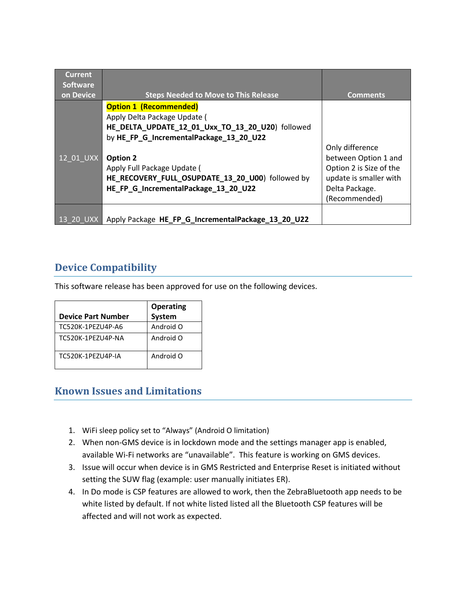| <b>Current</b><br><b>Software</b><br>on Device | <b>Steps Needed to Move to This Release</b>                                                                                                                                                                                                                                                         | <b>Comments</b>                                                                                                                 |
|------------------------------------------------|-----------------------------------------------------------------------------------------------------------------------------------------------------------------------------------------------------------------------------------------------------------------------------------------------------|---------------------------------------------------------------------------------------------------------------------------------|
| 12 01 UXX                                      | <b>Option 1 (Recommended)</b><br>Apply Delta Package Update (<br>HE DELTA UPDATE 12 01 Uxx TO 13 20 U20) followed<br>by HE_FP_G_IncrementalPackage_13_20_U22<br>Option 2<br>Apply Full Package Update (<br>HE_RECOVERY_FULL_OSUPDATE_13_20_U00) followed by<br>HE FP G IncrementalPackage 13 20 U22 | Only difference<br>between Option 1 and<br>Option 2 is Size of the<br>update is smaller with<br>Delta Package.<br>(Recommended) |
| 13 20 UXX                                      | Apply Package HE_FP_G_IncrementalPackage_13_20_U22                                                                                                                                                                                                                                                  |                                                                                                                                 |

### <span id="page-3-0"></span>**Device Compatibility**

This software release has been approved for use on the following devices.

|                           | <b>Operating</b> |
|---------------------------|------------------|
| <b>Device Part Number</b> | <b>System</b>    |
| TC520K-1PEZU4P-A6         | Android O        |
| TC520K-1PF7U4P-NA         | Android O        |
| TC520K-1PF7U4P-IA         | Android O        |

#### <span id="page-3-1"></span>**Known Issues and Limitations**

- 1. WiFi sleep policy set to "Always" (Android O limitation)
- 2. When non-GMS device is in lockdown mode and the settings manager app is enabled, available Wi-Fi networks are "unavailable". This feature is working on GMS devices.
- 3. Issue will occur when device is in GMS Restricted and Enterprise Reset is initiated without setting the SUW flag (example: user manually initiates ER).
- 4. In Do mode is CSP features are allowed to work, then the ZebraBluetooth app needs to be white listed by default. If not white listed listed all the Bluetooth CSP features will be affected and will not work as expected.